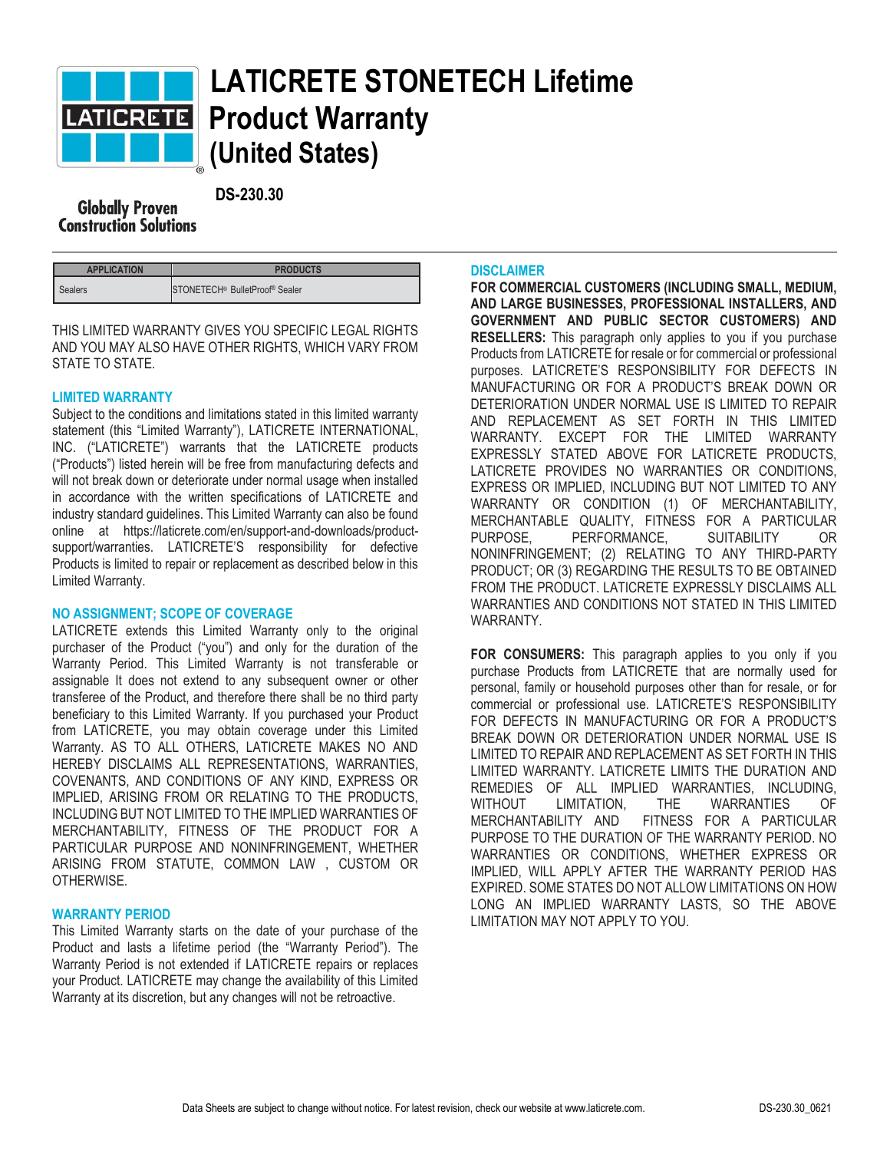

# **LATICRETE STONETECH Lifetime Product Warranty (United States)**

 **DS-230.30 Construction Solutions** 

| <b>APPLICATION</b> | <b>PRODUCTS</b>                                        |
|--------------------|--------------------------------------------------------|
| <b>Sealers</b>     | STONETECH <sup>®</sup> BulletProof <sup>®</sup> Sealer |

THIS LIMITED WARRANTY GIVES YOU SPECIFIC LEGAL RIGHTS AND YOU MAY ALSO HAVE OTHER RIGHTS, WHICH VARY FROM STATE TO STATE.

## **LIMITED WARRANTY**

Subject to the conditions and limitations stated in this limited warranty statement (this "Limited Warranty"), LATICRETE INTERNATIONAL, INC. ("LATICRETE") warrants that the LATICRETE products ("Products") listed herein will be free from manufacturing defects and will not break down or deteriorate under normal usage when installed in accordance with the written specifications of LATICRETE and industry standard guidelines. This Limited Warranty can also be found online at https://laticrete.com/en/support-and-downloads/productsupport/warranties. LATICRETE'S responsibility for defective Products is limited to repair or replacement as described below in this Limited Warranty.

## **NO ASSIGNMENT; SCOPE OF COVERAGE**

LATICRETE extends this Limited Warranty only to the original purchaser of the Product ("you") and only for the duration of the Warranty Period. This Limited Warranty is not transferable or assignable It does not extend to any subsequent owner or other transferee of the Product, and therefore there shall be no third party beneficiary to this Limited Warranty. If you purchased your Product from LATICRETE, you may obtain coverage under this Limited Warranty. AS TO ALL OTHERS, LATICRETE MAKES NO AND HEREBY DISCLAIMS ALL REPRESENTATIONS, WARRANTIES, COVENANTS, AND CONDITIONS OF ANY KIND, EXPRESS OR IMPLIED, ARISING FROM OR RELATING TO THE PRODUCTS, INCLUDING BUT NOT LIMITED TO THE IMPLIED WARRANTIES OF MERCHANTABILITY, FITNESS OF THE PRODUCT FOR A PARTICULAR PURPOSE AND NONINFRINGEMENT, WHETHER ARISING FROM STATUTE, COMMON LAW , CUSTOM OR OTHERWISE.

## **WARRANTY PERIOD**

This Limited Warranty starts on the date of your purchase of the Product and lasts a lifetime period (the "Warranty Period"). The Warranty Period is not extended if LATICRETE repairs or replaces your Product. LATICRETE may change the availability of this Limited Warranty at its discretion, but any changes will not be retroactive.

## **DISCLAIMER**

**FOR COMMERCIAL CUSTOMERS (INCLUDING SMALL, MEDIUM, AND LARGE BUSINESSES, PROFESSIONAL INSTALLERS, AND GOVERNMENT AND PUBLIC SECTOR CUSTOMERS) AND RESELLERS:** This paragraph only applies to you if you purchase Products from LATICRETE for resale or for commercial or professional purposes. LATICRETE'S RESPONSIBILITY FOR DEFECTS IN MANUFACTURING OR FOR A PRODUCT'S BREAK DOWN OR DETERIORATION UNDER NORMAL USE IS LIMITED TO REPAIR AND REPLACEMENT AS SET FORTH IN THIS LIMITED WARRANTY. EXCEPT FOR THE LIMITED WARRANTY EXPRESSLY STATED ABOVE FOR LATICRETE PRODUCTS, LATICRETE PROVIDES NO WARRANTIES OR CONDITIONS, EXPRESS OR IMPLIED, INCLUDING BUT NOT LIMITED TO ANY WARRANTY OR CONDITION (1) OF MERCHANTABILITY, MERCHANTABLE QUALITY, FITNESS FOR A PARTICULAR PURPOSE, PERFORMANCE, SUITABILITY OR NONINFRINGEMENT; (2) RELATING TO ANY THIRD-PARTY PRODUCT; OR (3) REGARDING THE RESULTS TO BE OBTAINED FROM THE PRODUCT. LATICRETE EXPRESSLY DISCLAIMS ALL WARRANTIES AND CONDITIONS NOT STATED IN THIS LIMITED WARRANTY.

**FOR CONSUMERS:** This paragraph applies to you only if you purchase Products from LATICRETE that are normally used for personal, family or household purposes other than for resale, or for commercial or professional use. LATICRETE'S RESPONSIBILITY FOR DEFECTS IN MANUFACTURING OR FOR A PRODUCT'S BREAK DOWN OR DETERIORATION UNDER NORMAL USE IS LIMITED TO REPAIR AND REPLACEMENT AS SET FORTH IN THIS LIMITED WARRANTY. LATICRETE LIMITS THE DURATION AND REMEDIES OF ALL IMPLIED WARRANTIES INCLUDING WITHOUT LIMITATION, THE WARRANTIES OF MERCHANTABILITY AND FITNESS FOR A PARTICULAR PURPOSE TO THE DURATION OF THE WARRANTY PERIOD. NO WARRANTIES OR CONDITIONS, WHETHER EXPRESS OR IMPLIED, WILL APPLY AFTER THE WARRANTY PERIOD HAS EXPIRED. SOME STATES DO NOT ALLOW LIMITATIONS ON HOW LONG AN IMPLIED WARRANTY LASTS, SO THE ABOVE LIMITATION MAY NOT APPLY TO YOU.